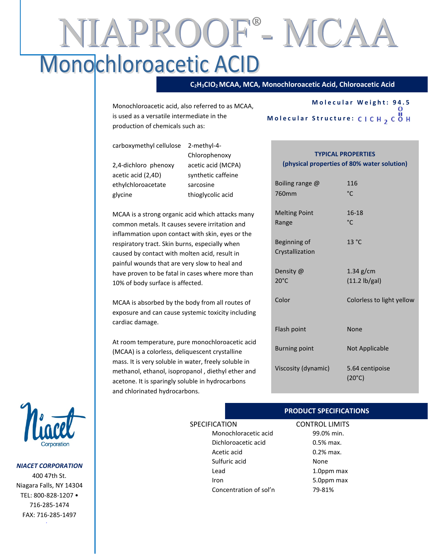# NIAPROOF®-MCAA **Monochloroacetic ACID**

#### **C2H3CIO2MCAA, MCA, Monochloroacetic Acid, Chloroacetic Acid**

Monochloroacetic acid, also referred to as MCAA, is used as a versatile intermediate in the production of chemicals such as:

carboxymethyl cellulose 2-methyl-4-

2,4-dichloro phenoxy acetic acid (MCPA) acetic acid (2,4D) synthetic caffeine ethylchloroacetate sarcosine glycine thioglycolic acid

Chlorophenoxy

MCAA is a strong organic acid which attacks many common metals. It causes severe irritation and inflammation upon contact with skin, eyes or the respiratory tract. Skin burns, especially when caused by contact with molten acid, result in painful wounds that are very slow to heal and have proven to be fatal in cases where more than 10% of body surface is affected.

MCAA is absorbed by the body from all routes of exposure and can cause systemic toxicity including cardiac damage.

At room temperature, pure monochloroacetic acid (MCAA) is a colorless, deliquescent crystalline mass. It is very soluble in water, freely soluble in methanol, ethanol, isopropanol , diethyl ether and acetone. It is sparingly soluble in hydrocarbons and chlorinated hydrocarbons.

### Molecular Structure: CICH<sub>2</sub> COH **Molecular Weight: 94.5**

### **TYPICAL PROPERTIES (physical properties of 80% water solution)** Boiling range @ 116 760mm °C Melting Point 16-18 Range **C** C Beginning of 13 °C Crystallization Density  $\omega$  1.34 g/cm 20°C (11.2 lb/gal) Color Colorless to light yellow Flash point None Burning point Not Applicable Viscosity (dynamic) 5.64 centipoise

#### **PRODUCT SPECIFICATIONS**

(20°C)

Iron 5.0ppm max Concentration of sol'n 79-81%



*NIACET CORPORATION* 400 47th St. Niagara Falls, NY 14304 TEL: 800-828-1207 • 716-285-1474 FAX: 716-285-1497

[i t](http://www.niacet.com/)

SPECIFICATION CONTROL LIMITS Monochloracetic acid 99.0% min. Dichloroacetic acid 0.5% max. Acetic acid **compared 10.2%** max. Sulfuric acid None Lead 1.0ppm max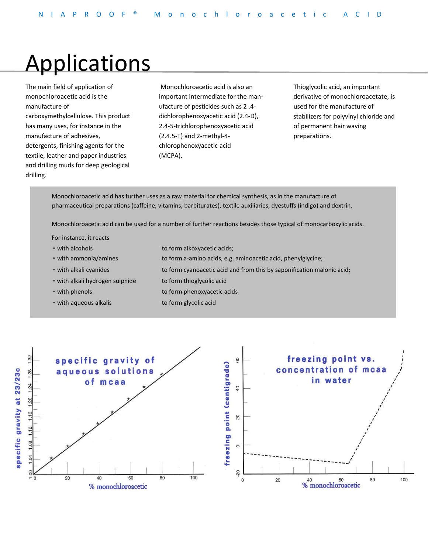# **Applications**

The main field of application of monochloroacetic acid is the manufacture of carboxymethylcellulose. This product has many uses, for instance in the manufacture of adhesives, detergents, finishing agents for the textile, leather and paper industries and drilling muds for deep geological drilling.

Monochloroacetic acid is also an important intermediate for the manufacture of pesticides such as 2 .4 dichlorophenoxyacetic acid (2.4-D), 2.4-5-trichlorophenoxyacetic acid (2.4.5-T) and 2-methyl-4 chlorophenoxyacetic acid (MCPA).

Thioglycolic acid, an important derivative of monochloroacetate, is used for the manufacture of stabilizers for polyvinyl chloride and of permanent hair waving preparations.

Monochloroacetic acid has further uses as a raw material for chemical synthesis, as in the manufacture of pharmaceutical preparations (caffeine, vitamins, barbiturates), textile auxiliaries, dyestuffs (indigo) and dextrin.

Monochloroacetic acid can be used for a number of further reactions besides those typical of monocarboxylic acids.

For instance, it reacts

- 
- 
- 
- with alkali hydrogen sulphide to form thioglycolic acid
- 
- 
- with alcohols to form alkoxyacetic acids;
- with ammonia/amines to form a-amino acids, e.g. aminoacetic acid, phenylglycine;
- with alkali cyanides to form cyanoacetic acid and from this by saponification malonic acid;
	-
- with phenols to form phenoxyacetic acids
- with aqueous alkalis to form glycolic acid

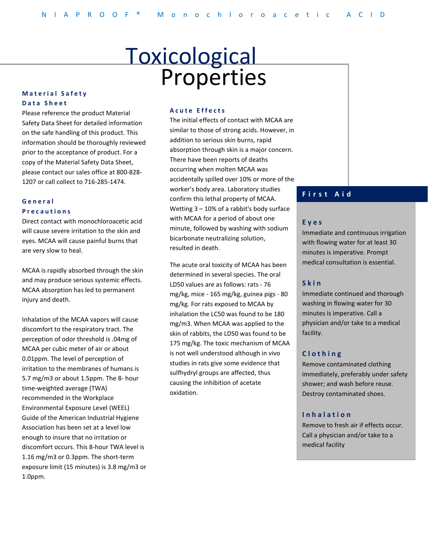## **Toxicological** Properties

#### **Material Safety**

#### **Data Sheet**

Please reference the product Material Safety Data Sheet for detailed information on the safe handling of this product. This information should be thoroughly reviewed prior to the acceptance of product. For a copy of the Material Safety Data Sheet, please contact our sales office at 800-828- 1207 or call collect to 716-285-1474.

#### **G eneral Precautions**

Direct contact with monochloroacetic acid will cause severe irritation to the skin and eyes. MCAA will cause painful burns that are very slow to heal.

MCAA is rapidly absorbed through the skin and may produce serious systemic effects. MCAA absorption has led to permanent injury and death.

Inhalation of the MCAA vapors will cause discomfort to the respiratory tract. The perception of odor threshold is .04mg of MCAA per cubic meter of air or about 0.01ppm. The level of perception of irritation to the membranes of humans is 5.7 mg/m3 or about 1.5ppm. The 8- hour time-weighted average (TWA) recommended in the Workplace Environmental Exposure Level (WEEL) Guide of the American Industrial Hygiene Association has been set at a level low enough to insure that no irritation or discomfort occurs. This 8-hour TWA level is 1.16 mg/m3 or 0.3ppm. The short-term exposure limit (15 minutes) is 3.8 mg/m3 or 1.0ppm.

#### **A c u te Effects**

The initial effects of contact with MCAA are similar to those of strong acids. However, in addition to serious skin burns, rapid absorption through skin is a major concern. There have been reports of deaths occurring when molten MCAA was accidentally spilled over 10% or more of the worker's body area. Laboratory studies confirm this lethal property of MCAA. Wetting 3 – 10% of a rabbit's body surface with MCAA for a period of about one minute, followed by washing with sodium bicarbonate neutralizing solution, resulted in death.

The acute oral toxicity of MCAA has been determined in several species. The oral LD50 values are as follows: rats - 76 mg/kg, mice - 165 mg/kg, guinea pigs - 80 mg/kg. For rats exposed to MCAA by inhalation the LC50 was found to be 180 mg/m3. When MCAA was applied to the skin of rabbits, the LD50 was found to be 175 mg/kg. The toxic mechanism of MCAA is not well understood although in vivo studies in rats give some evidence that sulfhydryl groups are affected, thus causing the inhibition of acetate oxidation.

#### **First Aid**

#### **Eyes**

Immediate and continuous irrigation with flowing water for at least 30 minutes is imperative. Prompt medical consultation is essential.

#### **S k i n**

Immediate continued and thorough washing in flowing water for 30 minutes is imperative. Call a physician and/or take to a medical facility.

#### **C lothing**

Remove contaminated clothing immediately, preferably under safety shower; and wash before reuse. Destroy contaminated shoes.

#### **I nhalation**

Remove to fresh air if effects occur. Call a physician and/or take to a medical facility